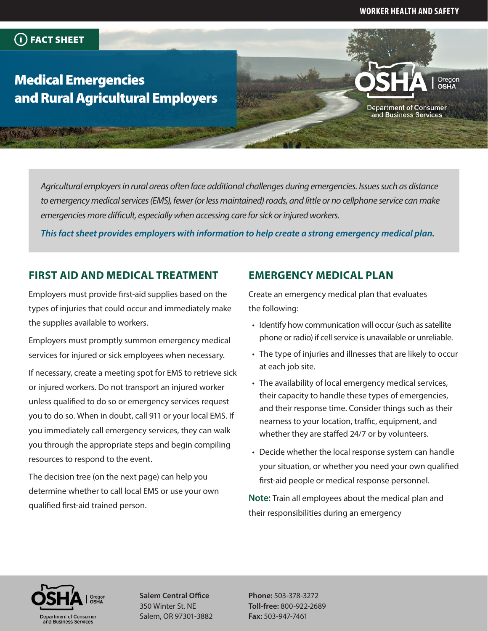#### **WORKER HEALTH AND SAFETY**

**Department of Consumer** and Business Services

Oregon

### FACT SHEET

# Medical Emergencies and Rural Agricultural Employers

*Agricultural employers in rural areas often face additional challenges during emergencies. Issues such as distance to emergency medical services (EMS), fewer (or less maintained) roads, and little or no cellphone service can make emergencies more difficult, especially when accessing care for sick or injured workers.*

*This fact sheet provides employers with information to help create a strong emergency medical plan.*

#### **FIRST AID AND MEDICAL TREATMENT**

Employers must provide first-aid supplies based on the types of injuries that could occur and immediately make the supplies available to workers.

Employers must promptly summon emergency medical services for injured or sick employees when necessary.

If necessary, create a meeting spot for EMS to retrieve sick or injured workers. Do not transport an injured worker unless qualified to do so or emergency services request you to do so. When in doubt, call 911 or your local EMS. If you immediately call emergency services, they can walk you through the appropriate steps and begin compiling resources to respond to the event.

The decision tree (on the next page) can help you determine whether to call local EMS or use your own qualified first-aid trained person.

#### **EMERGENCY MEDICAL PLAN**

Create an emergency medical plan that evaluates the following:

- Identify how communication will occur (such as satellite phone or radio) if cell service is unavailable or unreliable.
- The type of injuries and illnesses that are likely to occur at each job site.
- The availability of local emergency medical services, their capacity to handle these types of emergencies, and their response time. Consider things such as their nearness to your location, traffic, equipment, and whether they are staffed 24/7 or by volunteers.
- Decide whether the local response system can handle your situation, or whether you need your own qualified first-aid people or medical response personnel.

**Note:** Train all employees about the medical plan and their responsibilities during an emergency



**Salem Central Office** 350 Winter St. NE Salem, OR 97301-3882

**Phone:** 503-378-3272 **Toll-free:** 800-922-2689 **Fax:** 503-947-7461